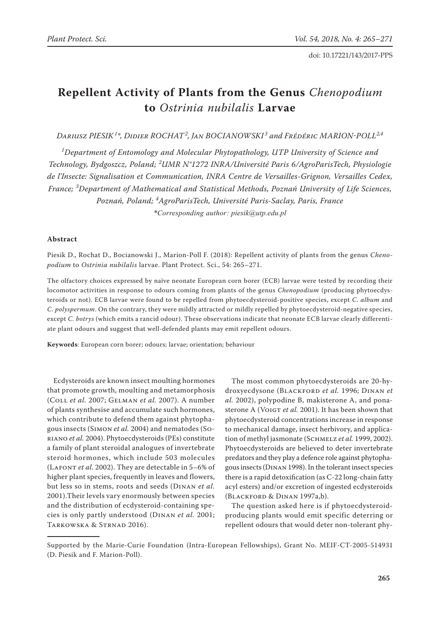# **Repellent Activity of Plants from the Genus** *Chenopodium* **to** *Ostrinia nubilalis* **Larvae**

*Dariusz Piesik<sup>1</sup> \*, Didier Rochat<sup>2</sup> , Jan Bocianowski <sup>3</sup> and Frédéric Marion-Poll2,4*

*1 Department of Entomology and Molecular Phytopathology, UTP University of Science and Technology, Bydgoszcz, Poland; <sup>2</sup> UMR N°1272 INRA/Université Paris 6/AgroParisTech, Physiologie de l'Insecte: Signalisation et Communication, INRA Centre de Versailles-Grignon, Versailles Cedex, France; <sup>3</sup> Department of Mathematical and Statistical Methods, Poznań University of Life Sciences, Poznań, Poland; <sup>4</sup> AgroParisTech, Université Paris-Saclay, Paris, France \*Corresponding author: piesik@utp.edu.pl*

## **Abstract**

Piesik D., Rochat D., Bocianowski J., Marion-Poll F. (2018): Repellent activity of plants from the genus *Chenopodium* to *Ostrinia nubilalis* larvae. Plant Protect. Sci., 54: 265–271.

The olfactory choices expressed by naïve neonate European corn borer (ECB) larvae were tested by recording their locomotor activities in response to odours coming from plants of the genus *Chenopodium* (producing phytoecdysteroids or not). ECB larvae were found to be repelled from phytoecdysteroid-positive species, except *C. album* and *C. polyspermum*. On the contrary, they were mildly attracted or mildly repelled by phytoecdysteroid-negative species, except *C. botrys* (which emits a rancid odour). These observations indicate that neonate ECB larvae clearly differentiate plant odours and suggest that well-defended plants may emit repellent odours.

**Keywords**: European corn borer; odours; larvae; orientation; behaviour

Ecdysteroids are known insect moulting hormones that promote growth, moulting and metamorphosis (Coll *et al.* 2007; Gelman *et al.* 2007). A number of plants synthesise and accumulate such hormones, which contribute to defend them against phytophagous insects (Simon *et al.* 2004) and nematodes (Soriano *et al.* 2004). Phytoecdysteroids (PEs) constitute a family of plant steroidal analogues of invertebrate steroid hormones, which include 503 molecules (LAFONT *et al.* 2002). They are detectable in 5-6% of higher plant species, frequently in leaves and flowers, but less so in stems, roots and seeds (Dinan *et al.* 2001).Their levels vary enormously between species and the distribution of ecdysteroid-containing species is only partly understood (Dinan *et al.* 2001; TARKOWSKA & STRNAD 2016).

The most common phytoecdysteroids are 20-hydroxyecdysone (Blackford *et al.* 1996; Dinan *et al.* 2002), polypodine B, makisterone A, and ponasterone A (VOIGT *et al.* 2001). It has been shown that phytoecdysteroid concentrations increase in response to mechanical damage, insect herbivory, and application of methyl jasmonate (SCHMELZ et al. 1999, 2002). Phytoecdysteroids are believed to deter invertebrate predators and they play a defence role against phytophagous insects (Dinan 1998). In the tolerant insect species there is a rapid detoxification (as C-22 long-chain fatty acyl esters) and/or excretion of ingested ecdysteroids (Blackford & Dinan 1997a,b).

The question asked here is if phytoecdysteroidproducing plants would emit specific deterring or repellent odours that would deter non-tolerant phy-

Supported by the Marie-Curie Foundation (Intra-European Fellowships), Grant No. MEIF-CT-2005-514931 (D. Piesik and F. Marion-Poll).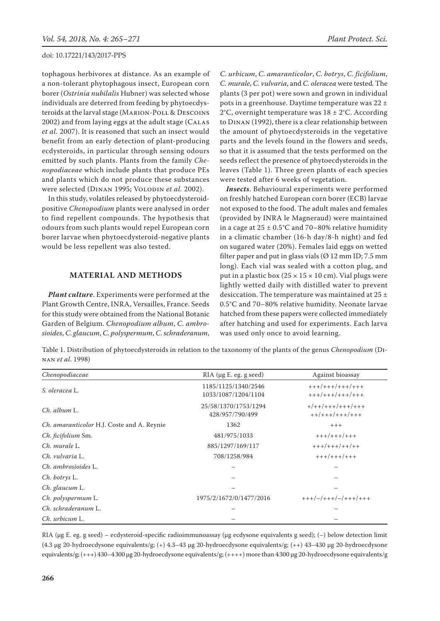tophagous herbivores at distance. As an example of a non-tolerant phytophagous insect, European corn borer (*Ostrinia nubilalis* Hubner) was selected whose individuals are deterred from feeding by phytoecdysteroids at the larval stage (Marion-Poll & Descoins 2002) and from laying eggs at the adult stage (Calas *et al.* 2007). It is reasoned that such an insect would benefit from an early detection of plant-producing ecdysteroids, in particular through sensing odours emitted by such plants. Plants from the family *Chenopodiaceae* which include plants that produce PEs and plants which do not produce these substances were selected (DINAN 1995; VOLODIN et al. 2002).

In this study, volatiles released by phytoecdysteroidpositive *Chenopodium* plants were analysed in order to find repellent compounds. The hypothesis that odours from such plants would repel European corn borer larvae when phytoecdysteroid-negative plants would be less repellent was also tested.

#### **Material and Methods**

*Plant culture*. Experiments were performed at the Plant Growth Centre, INRA, Versailles, France. Seeds for this study were obtained from the National Botanic Garden of Belgium. *Chenopodium album*, *C. ambrosioides*, *C*. *glaucum*, *C. polyspermum*, *C. schraderanum*,

*C. urbicum*, *C. amaranticolor*, *C. botrys*, *C. ficifolium*, *C. murale*, *C. vulvaria*, and *C. oleracea* were tested*.* The plants (3 per pot) were sown and grown in individual pots in a greenhouse. Daytime temperature was 22 ± 2°C, overnight temperature was  $18 \pm 2$ °C. According to Dinan (1992), there is a clear relationship between the amount of phytoecdysteroids in the vegetative parts and the levels found in the flowers and seeds, so that it is assumed that the tests performed on the seeds reflect the presence of phytoecdysteroids in the leaves (Table 1). Three green plants of each species were tested after 6 weeks of vegetation.

*Insects*. Behavioural experiments were performed on freshly hatched European corn borer (ECB) larvae not exposed to the food. The adult males and females (provided by INRA le Magneraud) were maintained in a cage at  $25 \pm 0.5^{\circ}$ C and 70–80% relative humidity in a climatic chamber (16-h day/8-h night) and fed on sugared water (20%). Females laid eggs on wetted filter paper and put in glass vials  $(Ø 12 \text{ mm ID}; 7.5 \text{ mm})$ long). Each vial was sealed with a cotton plug, and put in a plastic box  $(25 \times 15 \times 10 \text{ cm})$ . Vial plugs were lightly wetted daily with distilled water to prevent desiccation. The temperature was maintained at 25  $\pm$ 0.5°C and 70–80% relative humidity. Neonate larvae hatched from these papers were collected immediately after hatching and used for experiments. Each larva was used only once to avoid learning.

Table 1. Distribution of phytoecdysteroids in relation to the taxonomy of the plants of the genus *Chenopodium* (Dinan *et al*. 1998)

| Chenopodiaceae                             | $RIA$ ( $\mu$ g E. eg. g seed)             | Against bioassay<br>$+++/-+++/++++/++++$<br>$+++/++++/++++$ |  |  |  |
|--------------------------------------------|--------------------------------------------|-------------------------------------------------------------|--|--|--|
| S. oleracea L.                             | 1185/1125/1340/2546<br>1033/1087/1204/1104 |                                                             |  |  |  |
| $Ch.$ album $L.$                           | 25/58/1370/1753/1294<br>428/957/790/499    | $+$ /++/+++/+++/+++<br>$++/+++/+++/+++$                     |  |  |  |
| Ch. amaranticolor H.J. Coste and A. Reynie | 1362                                       | $+++$                                                       |  |  |  |
| Ch. ficifolium Sm.                         | 481/975/1033                               | $+++/+++/+++$                                               |  |  |  |
| Ch. murale L.                              | 885/1297/169/117                           | $+++/+++/++/++$                                             |  |  |  |
| Ch. vulvaria L.                            | 708/1258/984                               | $+++/+++/+++$                                               |  |  |  |
| Ch. ambrosioides L.                        |                                            |                                                             |  |  |  |
| Ch. botrys L.                              |                                            |                                                             |  |  |  |
| Ch. glaucum L.                             |                                            |                                                             |  |  |  |
| Ch. polyspermum L.                         | 1975/2/1672/0/1477/2016                    | $+++/-/+++/-/++++/+++$                                      |  |  |  |
| Ch. schraderanum L.                        |                                            |                                                             |  |  |  |
| Ch. urbicum L.                             |                                            |                                                             |  |  |  |

RIA (µg E. eg. g seed) – ecdysteroid-specific radioimmunoassay (µg ecdysone equivalents g seed); (-) below detection limit (4.3 µg 20-hydroecdysone equivalents/g; (+) 4.3–43 µg 20-hydroecdysone equivalents/g; (++) 43–430 µg 20-hydroecdysone equivalents/g;  $(+++)$  430–4300 µg 20-hydroecdysone equivalents/g;  $(+++)$  more than 4300 µg 20-hydroecdysone equivalents/g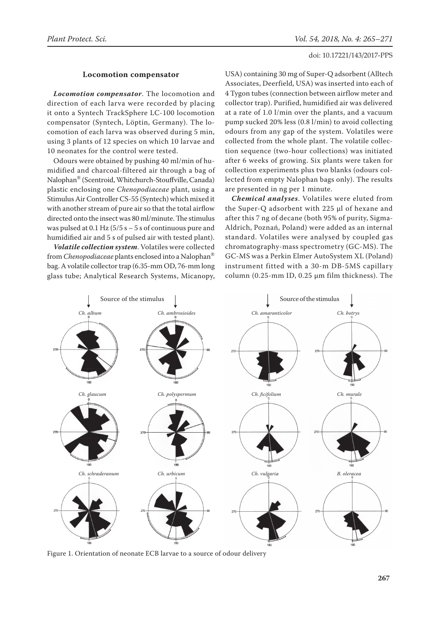### **Locomotion compensator**

*Locomotion compensator*. The locomotion and direction of each larva were recorded by placing it onto a Syntech TrackSphere LC-100 locomotion compensator (Syntech, Löptin, Germany). The locomotion of each larva was observed during 5 min, using 3 plants of 12 species on which 10 larvae and 10 neonates for the control were tested.

Odours were obtained by pushing 40 ml/min of humidified and charcoal-filtered air through a bag of Nalophan® (Scentroid, Whitchurch-Stouffville, Canada) plastic enclosing one *Chenopodiaceae* plant, using a Stimulus Air Controller CS-55 (Syntech) which mixed it with another stream of pure air so that the total airflow directed onto the insect was 80 ml/minute. The stimulus was pulsed at  $0.1$  Hz ( $5/5$  s  $-5$  s of continuous pure and humidified air and 5 s of pulsed air with tested plant).

*Volatile collection system*. Volatiles were collected from *Chenopodiaceae* plants enclosed into a Nalophan® bag. A volatile collector trap (6.35-mm OD, 76-mm long glass tube; Analytical Research Systems, Micanopy,

USA) containing 30 mg of Super-Q adsorbent (Alltech Associates, Deerfield, USA) was inserted into each of 4 Tygon tubes (connection between airflow meter and collector trap). Purified, humidified air was delivered at a rate of 1.0 l/min over the plants, and a vacuum pump sucked 20% less (0.8 l/min) to avoid collecting odours from any gap of the system. Volatiles were collected from the whole plant. The volatile collection sequence (two-hour collections) was initiated after 6 weeks of growing. Six plants were taken for collection experiments plus two blanks (odours collected from empty Nalophan bags only). The results are presented in ng per 1 minute.

*Chemical analyses*. Volatiles were eluted from the Super-Q adsorbent with 225 µl of hexane and after this 7 ng of decane (both 95% of purity, Sigma-Aldrich, Poznań, Poland) were added as an internal standard. Volatiles were analysed by coupled gas chromatography-mass spectrometry (GC-MS). The GC-MS was a Perkin Elmer AutoSystem XL (Poland) instrument fitted with a 30-m DB-5MS capillary column (0.25-mm ID, 0.25 µm film thickness). The



Figure 1. Orientation of neonate ECB larvae to a source of odour delivery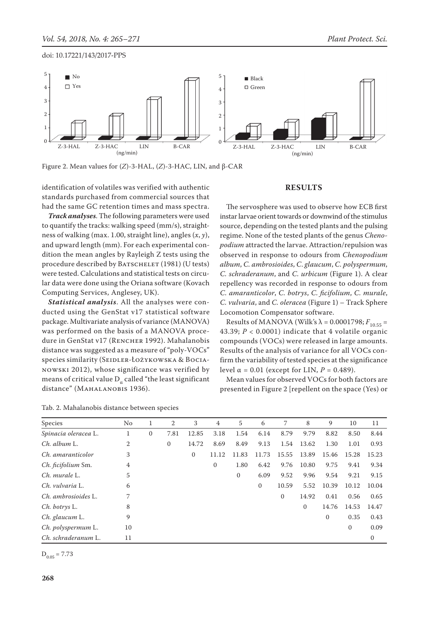

Figure 2. Mean values for (*Z*)-3-HAL, (*Z*)-3-HAC, LIN, and β-CAR

identification of volatiles was verified with authentic standards purchased from commercial sources that had the same GC retention times and mass spectra.

*Track analyses*. The following parameters were used to quantify the tracks: walking speed (mm/s), straightness of walking (max. 1.00, straight line), angles (*x*, *y*), and upward length (mm). For each experimental condition the mean angles by Rayleigh Z tests using the procedure described by BATSCHELET (1981) (U tests) were tested. Calculations and statistical tests on circular data were done using the Oriana software (Kovach Computing Services, Anglesey, UK).

*Statistical analysis*. All the analyses were conducted using the GenStat v17 statistical software package. Multivariate analysis of variance (MANOVA) was performed on the basis of a MANOVA procedure in GenStat v17 (RENCHER 1992). Mahalanobis distance was suggested as a measure of "poly-VOCs" species similarity (SEIDLER-ŁOŻYKOWSKA & BOCIAnowski 2012), whose significance was verified by means of critical value  $D_{\alpha}$  called "the least significant distance" (MAHALANOBIS 1936).

### **Results**

The servosphere was used to observe how ECB first instar larvae orient towards or downwind of the stimulus source, depending on the tested plants and the pulsing regime. None of the tested plants of the genus *Chenopodium* attracted the larvae. Attraction/repulsion was observed in response to odours from *Chenopodium album*, *C. ambrosioides*, *C*. *glaucum*, *C. polyspermum*, *C. schraderanum*, and *C. urbicum* (Figure 1). A clear repellency was recorded in response to odours from *C. amaranticolor*, *C. botrys*, *C. ficifolium*, *C. murale*, *C. vulvaria*, and *C. oleracea* (Figure 1) – Track Sphere Locomotion Compensator software.

Results of MANOVA (Wilk's  $λ = 0.0001798; F_{10.55}$  = 43.39;  $P < 0.0001$ ) indicate that 4 volatile organic compounds (VOCs) were released in large amounts. Results of the analysis of variance for all VOCs confirm the variability of tested species at the significance level  $\alpha$  = 0.01 (except for LIN,  $P = 0.489$ ).

Mean values for observed VOCs for both factors are presented in Figure 2 [repellent on the space (Yes) or

| Species              | No |              | 2            | 3            | 4            | 5                | 6            |              | 8            | 9            | 10           | 11           |
|----------------------|----|--------------|--------------|--------------|--------------|------------------|--------------|--------------|--------------|--------------|--------------|--------------|
| Spinacia oleracea L. |    | $\mathbf{0}$ | 7.81         | 12.85        | 3.18         | 1.54             | 6.14         | 8.79         | 9.79         | 8.82         | 8.50         | 8.44         |
| $Ch.$ album $L.$     | 2  |              | $\mathbf{0}$ | 14.72        | 8.69         | 8.49             | 9.13         | 1.54         | 13.62        | 1.30         | 1.01         | 0.93         |
| Ch. amaranticolor    | 3  |              |              | $\mathbf{0}$ | 11.12        | 11.83            | 11.73        | 15.55        | 13.89        | 15.46        | 15.28        | 15.23        |
| Ch. ficifolium Sm.   | 4  |              |              |              | $\mathbf{0}$ | 1.80             | 6.42         | 9.76         | 10.80        | 9.75         | 9.41         | 9.34         |
| Ch. murale L.        | 5  |              |              |              |              | $\boldsymbol{0}$ | 6.09         | 9.52         | 9.96         | 9.54         | 9.21         | 9.15         |
| Ch. vulvaria L.      | 6  |              |              |              |              |                  | $\mathbf{0}$ | 10.59        | 5.52         | 10.39        | 10.12        | 10.04        |
| Ch. ambrosioides L.  | 7  |              |              |              |              |                  |              | $\mathbf{0}$ | 14.92        | 0.41         | 0.56         | 0.65         |
| Ch. botrys L.        | 8  |              |              |              |              |                  |              |              | $\mathbf{0}$ | 14.76        | 14.53        | 14.47        |
| Ch. glaucum L.       | 9  |              |              |              |              |                  |              |              |              | $\mathbf{0}$ | 0.35         | 0.43         |
| Ch. polyspermum L.   | 10 |              |              |              |              |                  |              |              |              |              | $\mathbf{0}$ | 0.09         |
| Ch. schraderanum L.  | 11 |              |              |              |              |                  |              |              |              |              |              | $\mathbf{0}$ |

Tab. 2. Mahalanobis distance between species

 $D_{0.05} = 7.73$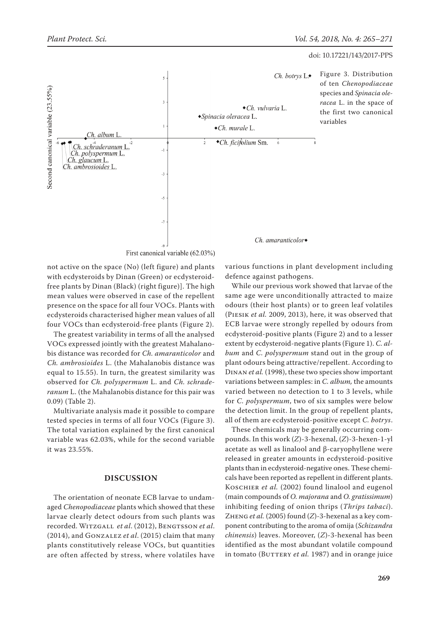

not active on the space (No) (left figure) and plants with ecdysteroids by Dinan (Green) or ecdysteroidfree plants by Dinan (Black) (right figure)]. The high mean values were observed in case of the repellent presence on the space for all four VOCs. Plants with ecdysteroids characterised higher mean values of all four VOCs than ecdysteroid-free plants (Figure 2).

The greatest variability in terms of all the analysed VOCs expressed jointly with the greatest Mahalanobis distance was recorded for *Ch. amaranticolor* and *Ch. ambrosioides* L. (the Mahalanobis distance was equal to 15.55). In turn, the greatest similarity was observed for *Ch. polyspermum* L. and *Ch. schraderanum* L. (the Mahalanobis distance for this pair was 0.09) (Table 2).

Multivariate analysis made it possible to compare tested species in terms of all four VOCs (Figure 3). The total variation explained by the first canonical variable was 62.03%, while for the second variable it was 23.55%.

#### **Discussion**

The orientation of neonate ECB larvae to undamaged *Chenopodiaceae* plants which showed that these larvae clearly detect odours from such plants was recorded. Witzgall *et al*. (2012), Bengtsson *et al*. (2014), and Gonzalez *et al*. (2015) claim that many plants constitutively release VOCs, but quantities are often affected by stress, where volatiles have various functions in plant development including defence against pathogens.

While our previous work showed that larvae of the same age were unconditionally attracted to maize odours (their host plants) or to green leaf volatiles (Piesik *et al.* 2009, 2013), here, it was observed that ECB larvae were strongly repelled by odours from ecdysteroid-positive plants (Figure 2) and to a lesser extent by ecdysteroid-negative plants (Figure 1). *C. album* and *C. polyspermum* stand out in the group of plant odours being attractive/repellent. According to Dinan *et al.* (1998), these two species show important variations between samples: in *C. album,* the amounts varied between no detection to 1 to 3 levels, while for *C. polyspermum*, two of six samples were below the detection limit. In the group of repellent plants, all of them are ecdysteroid-positive except *C. botrys*.

These chemicals may be generally occurring compounds. In this work (*Z*)-3-hexenal, (*Z*)-3-hexen-1-yl acetate as well as linalool and β-caryophyllene were released in greater amounts in ecdysteroid-positive plants than in ecdysteroid-negative ones. These chemicals have been reported as repellent in different plants. KOSCHIER et al. (2002) found linalool and eugenol (main compounds of *O. majorana* and *O. gratissimum*) inhibiting feeding of onion thrips (*Thrips tabaci*). Zheng *et al.* (2005) found (*Z*)-3-hexenal as a key component contributing to the aroma of omija (*Schizandra chinensis*) leaves. Moreover, (*Z*)-3-hexenal has been identified as the most abundant volatile compound in tomato (BUTTERY *et al.* 1987) and in orange juice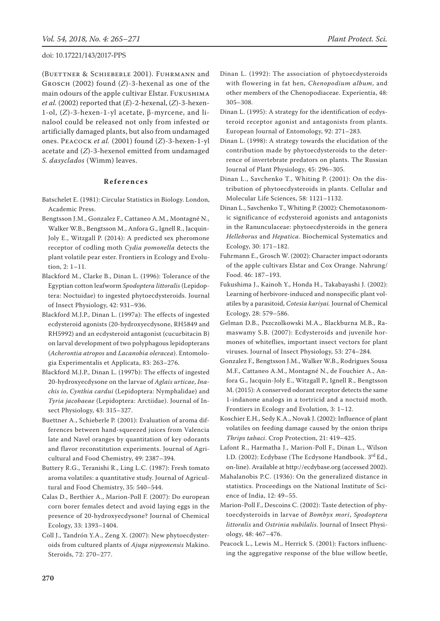(Buettner & Schieberle 2001). Fuhrmann and Grosch (2002) found (*Z*)-3-hexenal as one of the main odours of the apple cultivar Elstar. Fukushima *et al.* (2002) reported that (*E*)-2-hexenal, (*Z*)-3-hexen-1-ol, (*Z*)-3-hexen-1-yl acetate, β-myrcene, and linalool could be released not only from infested or artificially damaged plants, but also from undamaged ones. Peacock *et al.* (2001) found (*Z*)-3-hexen-1-yl acetate and (*Z*)-3-hexenol emitted from undamaged *S. dasyclados* (Wimm) leaves.

#### **References**

- Batschelet E. (1981): Circular Statistics in Biology. London, Academic Press.
- Bengtsson J.M., Gonzalez F., Cattaneo A.M., Montagné N., Walker W.B., Bengtsson M., Anfora G., Ignell R., Jacquin-Joly E., Witzgall P. (2014): A predicted sex pheromone receptor of codling moth *Cydia pomonella* detects the plant volatile pear ester. Frontiers in Ecology and Evolution, 2: 1–11.
- Blackford M., Clarke B., Dinan L. (1996): Tolerance of the Egyptian cotton leafworm *Spodoptera littoralis* (Lepidoptera: Noctuidae) to ingested phytoecdysteroids. Journal of Insect Physiology, 42: 931–936.
- Blackford M.J.P., Dinan L. (1997a): The effects of ingested ecdysteroid agonists (20-hydroxyecdysone, RH5849 and RH5992) and an ecdysteroid antagonist (cucurbitacin B) on larval development of two polyphagous lepidopterans (*Acherontia atropos* and *Lacanobia oleracea*). Entomologia Experimentalis et Applicata, 83: 263–276.
- Blackford M.J.P., Dinan L. (1997b): The effects of ingested 20-hydroxyecdysone on the larvae of *Aglais urticae*, *Inachis io*, *Cynthia cardui* (Lepidoptera: Nymphalidae) and *Tyria jacobaeae* (Lepidoptera: Arctiidae). Journal of Insect Physiology, 43: 315–327.
- Buettner A., Schieberle P. (2001): Evaluation of aroma differences between hand-squeezed juices from Valencia late and Navel oranges by quantitation of key odorants and flavor reconstitution experiments. Journal of Agricultural and Food Chemistry, 49: 2387–394.
- Buttery R.G., Teranishi R., Ling L.C. (1987): Fresh tomato aroma volatiles: a quantitative study. Journal of Agricultural and Food Chemistry, 35: 540–544.
- Calas D., Berthier A., Marion-Poll F. (2007): Do european corn borer females detect and avoid laying eggs in the presence of 20-hydroxyecdysone? Journal of Chemical Ecology, 33: 1393–1404.
- Coll J., Tandrón Y.A., Zeng X. (2007): New phytoecdysteroids from cultured plants of *Ajuga nipponensis* Makino. Steroids, 72: 270–277.
- Dinan L. (1992): The association of phytoecdysteroids with flowering in fat hen, *Chenopodium album*, and other members of the Chenopodiaceae. Experientia, 48: 305–308.
- Dinan L. (1995): A strategy for the identification of ecdysteroid receptor agonist and antagonists from plants. European Journal of Entomology, 92: 271–283.
- Dinan L. (1998): A strategy towards the elucidation of the contribution made by phytoecdysteroids to the deterrence of invertebrate predators on plants. The Russian Journal of Plant Physiology, 45: 296–305.
- Dinan L., Savchenko T., Whiting P. (2001): On the distribution of phytoecdysteroids in plants. Cellular and Molecular Life Sciences, 58: 1121–1132.
- Dinan L., Savchenko T., Whiting P. (2002): Chemotaxonomic significance of ecdysteroid agonists and antagonists in the Ranunculaceae: phytoecdysteroids in the genera *Helleborus* and *Hepatica*. Biochemical Systematics and Ecology, 30: 171–182.
- Fuhrmann E., Grosch W. (2002): Character impact odorants of the apple cultivars Elstar and Cox Orange. Nahrung/ Food. 46: 187–193.
- Fukushima J., Kainoh Y., Honda H., Takabayashi J. (2002): Learning of herbivore-induced and nonspecific plant volatiles by a parasitoid, *Cotesia kariyai.* Journal of Chemical Ecology, 28: 579–586.
- Gelman D.B., Pszczolkowski M.A., Blackburna M.B., Ramaswamy S.B. (2007): Ecdysteroids and juvenile hormones of whiteflies, important insect vectors for plant viruses. Journal of Insect Physiology, 53: 274–284.
- Gonzalez F., Bengtsson J.M., Walker W.B., Rodrigues Sousa M.F., Cattaneo A.M., Montagné N., de Fouchier A., Anfora G., Jacquin-Joly E., Witzgall P., Ignell R., Bengtsson M. (2015): A conserved odorant receptor detects the same 1-indanone analogs in a tortricid and a noctuid moth. Frontiers in Ecology and Evolution, 3: 1–12.
- Koschier E.H., Sedy K.A., Novak J. (2002): Influence of plant volatiles on feeding damage caused by the onion thrips *Thrips tabaci*. Crop Protection, 21: 419–425.
- Lafont R., Harmatha J., Marion-Poll F., Dinan L., Wilson I.D. (2002): Ecdybase (The Ecdysone Handbook. 3rd Ed., on-line). Available at http://ecdybase.org (accessed 2002).
- Mahalanobis P.C. (1936): On the generalized distance in statistics. Proceedings on the National Institute of Science of India, 12: 49–55.
- Marion-Poll F., Descoins C. (2002): Taste detection of phytoecdysteroids in larvae of *Bombyx mori*, *Spodoptera littoralis* and *Ostrinia nubilalis*. Journal of Insect Physiology, 48: 467–476.
- Peacock L., Lewis M., Herrick S. (2001): Factors influencing the aggregative response of the blue willow beetle,